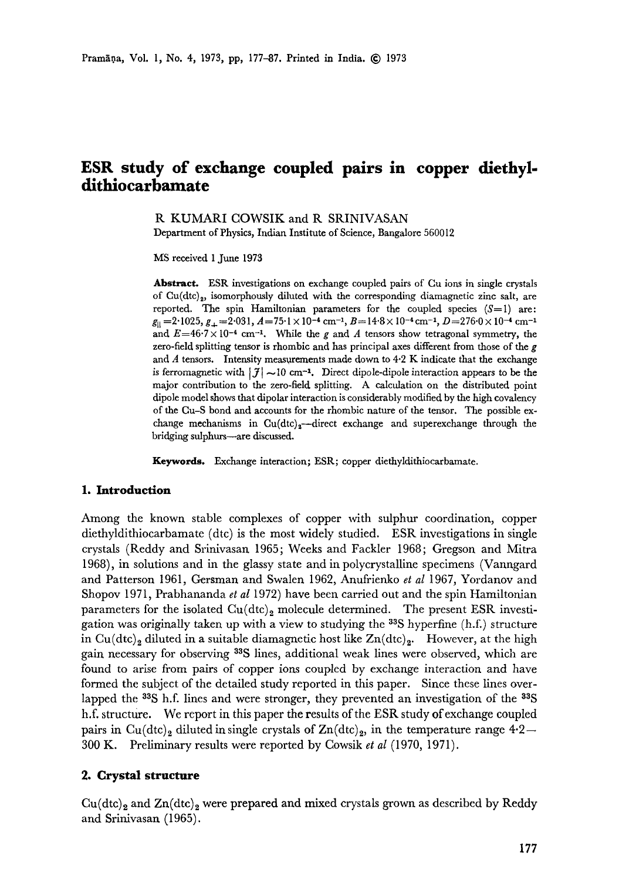# **ESR study of exchange coupled pairs in copper diethyldithiocarbamate**

R KUMARI COWSIK and R SRINIVASAN Department of Physics, Indian Institute of Science, Bangalore 560012

MS received 1 June 1973

**Abstract.** ESR investigations on exchange coupled pairs of Cu ions in single crystals of  $Cu(dtc)$ <sub>2</sub>, isomorphously diluted with the corresponding diamagnetic zinc salt, are reported. The spin Hamiltonian parameters for the coupled species  $(S=1)$  are:  $g_{\parallel}$  = 2.1025,  $g_{+}$  = 2.031,  $A$  = 75.1  $\times$  10<sup>-4</sup> cm<sup>-1</sup>,  $B$  = 14.8  $\times$  10<sup>-4</sup> cm<sup>-1</sup>,  $D$  = 276.0  $\times$  10<sup>-4</sup> cm<sup>-1</sup> and  $E=46.7 \times 10^{-4}$  cm<sup>-1</sup>. While the g and A tensors show tetragonal symmetry, the zero-field splitting tensor is rhombic and has principal axes different from those of the  $g$ and A tensors. Intensity measurements made down to  $4.2$  K indicate that the exchange is ferromagnetic with  $|\mathcal{J}| \sim 10$  cm<sup>-1</sup>. Direct dipole-dipole interaction appears to be the major contribution to the zero-field splitting. A calculation on the distributed point dipole model shows that dipolar interaction is considerably modified by the high covalency of the Cu-S bond and accounts for the rhombic nature of the tensor. The possible exchange mechanisms in  $Cu(dtc)<sub>2</sub>$ -direct exchange and superexchange through the bridging sulphurs--are discussed.

**Keywords.** Exchange interaction; ESR; copper diethyldithiocarbamate.

## **1. Introduction**

Among the known stable complexes of copper with sulphur coordination, copper diethyldithiocarbamate (dtc) is the most widely studied. ESR investigations in single crystals (Reddy and Srinivasan 1965; Weeks and Fackler 1968; Gregson and Mitra 1968), in solutions and in the glassy state and in polycrystalline specimens (Vanngard and Patterson 1961, Gersman and Swalen 1962, Anufrienko *et al* 1967, Yordanov and Shopov 1971, Prabhananda *et al* 1972) have been carried out and the spin Hamiltonian parameters for the isolated  $Cu(dtc)_2$  molecule determined. The present ESR investigation was originally taken up with a view to studying the  $33S$  hyperfine (h.f.) structure in Cu(dtc)<sub>2</sub> diluted in a suitable diamagnetic host like  $Zn(\text{dtc})_2$ . However, at the high gain necessary for observing <sup>33</sup>S lines, additional weak lines were observed, which are found to arise from pairs of copper ions coupled by exchange interaction and have formed the subject of the detailed study reported in this paper. Since these lines overlapped the  $3\$ S h.f. lines and were stronger, they prevented an investigation of the  $3\$ S h.f. structure. We report in this paper the results of the ESR study of exchange coupled pairs in Cu(dtc)<sub>2</sub> diluted in single crystals of  $Zn(\text{dtc})_2$ , in the temperature range 4.2---300 K. Preliminary results were reported by Cowsik *et al* (1970, 1971).

# **2. Crystal structure**

 $Cu(dtc)_2$  and  $Zn(dtc)_2$  were prepared and mixed crystals grown as described by Reddy and Srinivasan (1965).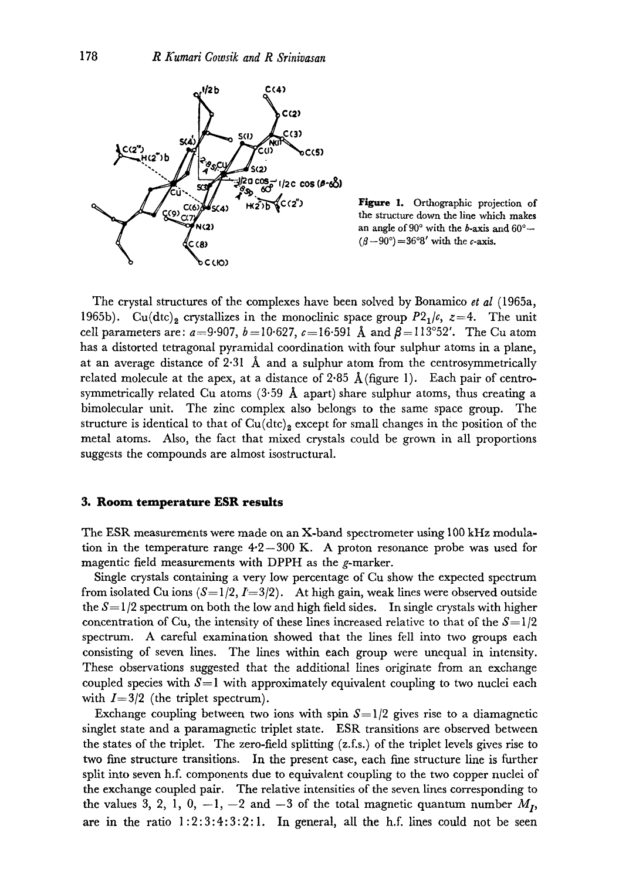

Figure 1. Orthographic projection of the structure down the line which makes an angle of  $90^{\circ}$  with the b-axis and  $60^{\circ}$ -- $(\beta-90^{\circ}) = 36^{\circ}8'$  with the c-axis.

The crystal structures of the complexes have been solved by Bonamico *et al* (1965a, 1965b). Cu(dtc)<sub>2</sub> crystallizes in the monoclinic space group  $P2_1/\epsilon$ ,  $z=4$ . The unit cell parameters are:  $a=9.907$ ,  $b=10.627$ ,  $c=16.591$  Å and  $\beta=113^{\circ}52'$ . The Cu atom has a distorted tetragonal pyramidal coordination with four sulphur atoms in a plane, at an average distance of 2.31  $\AA$  and a sulphur atom from the centrosymmetrically related molecule at the apex, at a distance of 2.85  $\AA$  (figure 1). Each pair of centrosymmetrically related Cu atoms  $(3.59 \text{ Å}$  apart) share sulphur atoms, thus creating a bimolecular unit. The zinc complex also belongs to the same space group. The structure is identical to that of  $Cu(dtc)_{2}$  except for small changes in the position of the metal atoms. Also, the fact that mixed crystals could be grown in all proportions suggests the compounds are almost isostructural.

#### **3. Room temperature ESR results**

The ESR measurements were made on an X-band spectrometer using 100 kHz modulation in the temperature range  $4.2-300$  K. A proton resonance probe was used for magentic field measurements with DPPH as the g-marker.

Single crystals containing a very low percentage of Cu show the expected spectrum from isolated Cu ions  $(S=1/2, I=3/2)$ . At high gain, weak lines were observed outside the  $S=1/2$  spectrum on both the low and high field sides. In single crystals with higher concentration of Cu, the intensity of these lines increased relative to that of the  $S = 1/2$ spectrum. A careful examination showed that the lines fell into two groups each consisting of seven lines. The lines within each group were unequal in intensity. These observations suggested that the additional lines originate from an exchange coupled species with  $S=1$  with approximately equivalent coupling to two nuclei each with  $I=3/2$  (the triplet spectrum).

Exchange coupling between two ions with spin  $S=1/2$  gives rise to a diamagnetic singlet state and a paramagnetic triplet state. ESR transitions are observed between the states of the triplet. The zero-field splitting (z.f.s.) of the triplet levels gives rise to two fine structure transitions. In the present case, each fine structure line is further split into seven h.f. components due to equivalent coupling to the two copper nuclei of the exchange coupled pair. The relative intensities of the seven lines corresponding to the values 3, 2, 1, 0,  $-1$ ,  $-2$  and  $-3$  of the total magnetic quantum number  $M_I$ , are in the ratio  $1:2:3:4:3:2:1$ . In general, all the h.f. lines could not be seen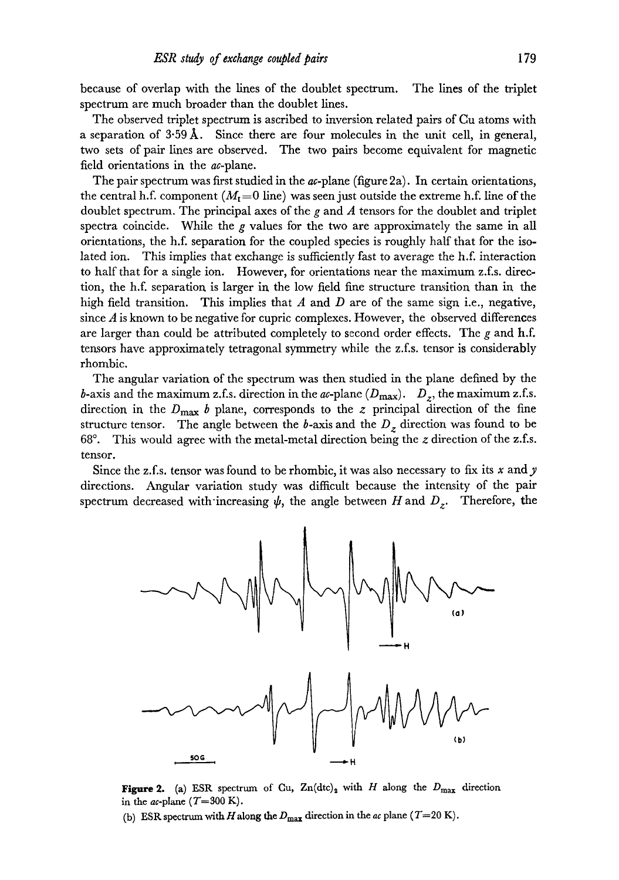because of overlap with the fines of the doublet spectrum. The lines of the triplet spectrum are much broader than the doublet lines.

The observed triplet spectrum is ascribed to inversion related pairs of Cu atoms with a separation of  $3.59 \text{\AA}$ . Since there are four molecules in the unit cell, in general, two sets of pair lines are observed. The two pairs become equivalent for magnetic field orientations in the *ac*-plane.

The pair spectrum was first studied in the  $ac$ -plane (figure 2a). In certain orientations, the central h.f. component  $(M<sub>r</sub>=0$  line) was seen just outside the extreme h.f. line of the doublet spectrum. The principal axes of the g and  $\Lambda$  tensors for the doublet and triplet spectra coincide. While the  $g$  values for the two are approximately the same in all orientations, the h.f. separation for the coupled species is roughly half that for the isolated ion. This implies that exchange is sufficiently fast to average the h.f. interaction to half that for a single ion. However, for orientations near the maximum z.f.s, direction, the h.f. separation is larger in the low field fine structure transition than in the high field transition. This implies that A and D are of the same sign i.e., negative, since  $A$  is known to be negative for cupric complexes. However, the observed differences are larger than could be attributed completely to second order effects. The  $g$  and  $h.f.$ tensors have approximately tetragonal symmetry while the z.f.s, tensor is considerably rhombic.

The angular variation of the spectrum was then studied in the plane defined by the b-axis and the maximum z.f.s. direction in the *ac*-plane  $(D_{\text{max}})$ .  $D_z$ , the maximum z.f.s. direction in the  $D_{\text{max}}$  b plane, corresponds to the z principal direction of the fine structure tensor. The angle between the  $b$ -axis and the  $D<sub>z</sub>$  direction was found to be 68 $\degree$ . This would agree with the metal-metal direction being the z direction of the z.f.s. tensor.

Since the z.f.s, tensor was found to be rhombic, it was also necessary to fix its x and y directions. Angular variation study was difficult because the intensity of the pair spectrum decreased with increasing  $\psi$ , the angle between H and  $D_z$ . Therefore, the



Figure 2. (a) ESR spectrum of Gu,  $\text{Zn}(dtc)_2$  with H along the  $D_{\text{max}}$  direction in the *ac*-plane  $(T=300 \text{ K})$ .

(b) ESR spectrum with H along the  $D_{\text{max}}$  direction in the *ac* plane  $(T=20 \text{ K})$ .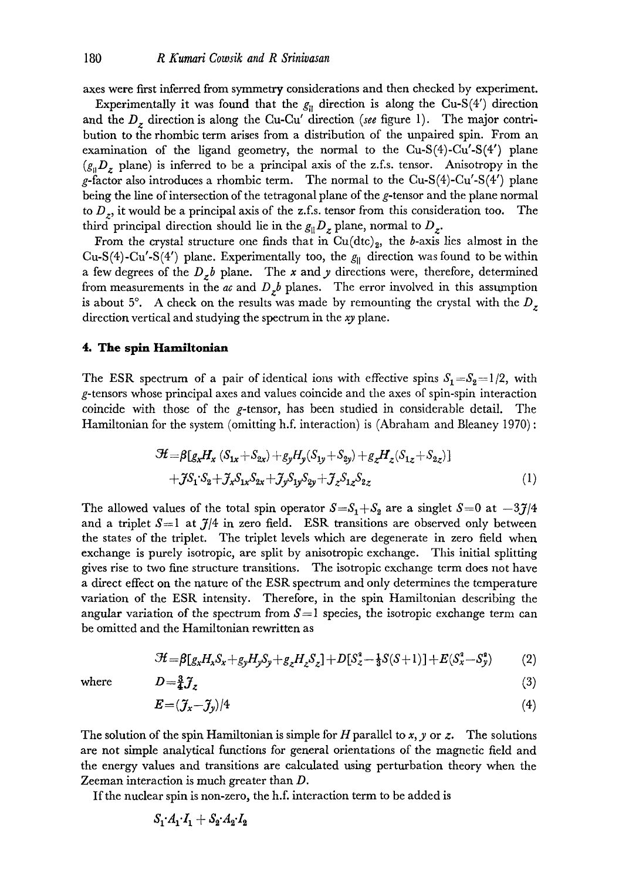axes were first inferred from symmetry considerations and then checked by experiment.

Experimentally it was found that the  $g_{\parallel}$  direction is along the Cu-S(4') direction and the *D<sub>z</sub>* direction is along the Cu-Cu' direction (see figure 1). The major contribution to the rhombic term arises from a distribution of the unpaired spin. From an examination of the ligand geometry, the normal to the  $Cu-S(4)$ -Cu'-S(4') plane  $(g_{\parallel}D_z)$  plane) is inferred to be a principal axis of the z.f.s. tensor. Anisotropy in the g-factor also introduces a rhombic term. The normal to the Cu-S(4)-Cu'-S(4') plane being the line of intersection of the tetragonal plane of the g-tensor and the plane normal to  $D_z$ , it would be a principal axis of the z.f.s. tensor from this consideration too. The third principal direction should lie in the  $g_{\parallel}D_z$  plane, normal to  $D_z$ .

From the crystal structure one finds that in  $Cu(dtc)_2$ , the b-axis lies almost in the Cu-S(4)-Cu'-S(4') plane. Experimentally too, the  $g_{\parallel}$  direction was found to be within a few degrees of the  $D_z b$  plane. The x and y directions were, therefore, determined from measurements in the  $ac$  and  $D_zb$  planes. The error involved in this assumption is about 5°. A check on the results was made by remounting the crystal with the  $D<sub>z</sub>$ direction vertical and studying the spectrum in the *xy* plane.

## **4. The spin Hamiltonlan**

The ESR spectrum of a pair of identical ions with effective spins  $S_1 = S_2 = 1/2$ , with g-tensors whose principal axes and values coincide and the axes of spin-spin interaction coincide with those of the g-tensor, has been studied in considerable detail. The Hamiltonian for the system (omitting h.f. interaction) is (Abraham and Bleaney 1970) :

$$
\mathcal{H} = \beta[g_x H_x (S_{1x} + S_{2x}) + g_y H_y (S_{1y} + S_{2y}) + g_z H_z (S_{1z} + S_{2z})]
$$
  
+
$$
\mathcal{J}S_1 \cdot S_2 + \mathcal{J}_x S_{1x} S_{2x} + \mathcal{J}_y S_{1y} S_{2y} + \mathcal{J}_z S_{1z} S_{2z}
$$
 (1)

The allowed values of the total spin operator  $S=S_1+S_2$  are a singlet  $S=0$  at  $-3J/4$ and a triplet  $S=1$  at  $J/4$  in zero field. ESR transitions are observed only between the states of the triplet. The triplet levels which are degenerate in zero field when exchange is purely isotropic, are split by anisotropic exchange. This initial splitting gives rise to two fine structure transitions. The isotropic exchange term does not have a direct effect on the nature of the ESR spectrum and only determines the temperature variation of the ESR intensity. Therefore, in the spin Hamiltonian describing the angular variation of the spectrum from  $S=1$  species, the isotropic exchange term can be omitted and the Hamiltonian rewritten as

$$
\mathcal{H} = \beta[g_x H_x S_x + g_y H_y S_y + g_z H_z S_z] + D[S_z^2 - \frac{1}{3}S(S+1)] + E(S_x^2 - S_y^2) \tag{2}
$$

where

$$
D = \frac{3}{4} \mathcal{J}_z \tag{3}
$$

$$
E = (\mathcal{J}_x - \mathcal{J}_y)/4 \tag{4}
$$

The solution of the spin Hamiltonian is simple for H parallel to x, y or z. The solutions are not simple analytical functions for general orientations of the magnetic field and the energy values and transitions are calculated using perturbation theory when the Zeeman interaction is much greater than D.

If the nuclear spin is non-zero, the h.f. interaction term to be added is

$$
S_1 \cdot A_1 \cdot I_1 + S_2 \cdot A_2 \cdot I_2
$$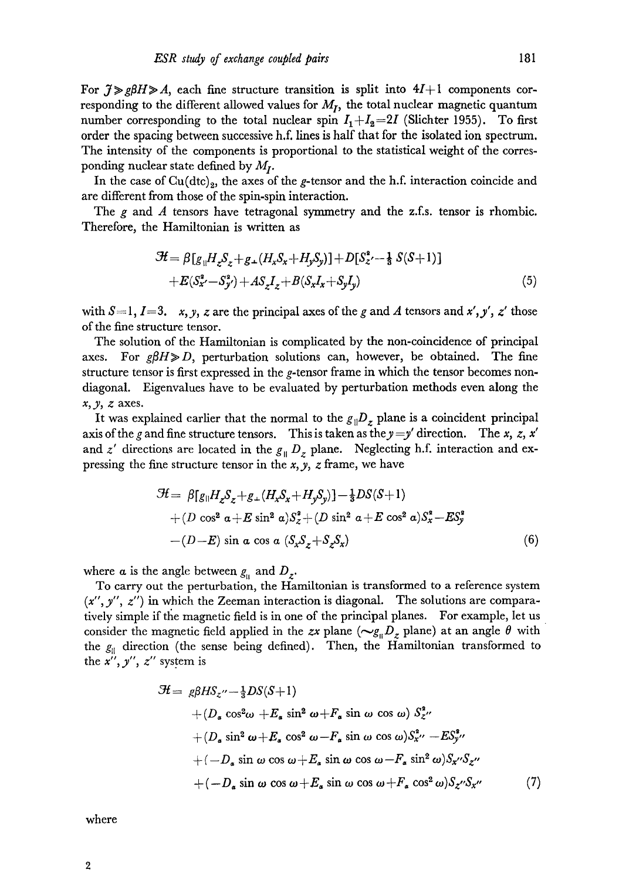For  $\mathcal{J} \gg g \beta H \gg A$ , each fine structure transition is split into  $4I+1$  components corresponding to the different allowed values for  $M_I$ , the total nuclear magnetic quantum number corresponding to the total nuclear spin  $I_1+I_2=2I$  (Slichter 1955). To first order the spacing between successive h.f. lines is half that for the isolated ion spectrum. The intensity of the components is proportional to the statistical weight of the corresponding nuclear state defined by  $M_I$ .

In the case of  $Cu(dtc)_2$ , the axes of the g-tensor and the h.f. interaction coincide and are different from those of the spin-spin interaction.

The g and A tensors have tetragonal symmetry and the z.f.s. tensor is rhombic. Therefore, the Hamiltonian is written as

$$
\mathcal{H} = \beta [g_{\parallel} H_z S_z + g_{\perp} (H_x S_x + H_y S_y)] + D [S_z^2 - \frac{1}{3} S(S+1)] \n+ E(S_x^2 - S_y^2) + A S_z I_z + B(S_x I_x + S_y I_y)
$$
\n(5)

with  $S=1, I=3$ . *x, y, z* are the principal axes of the *g* and *A* tensors and *x', y', z'* those of the fine structure tensor.

The solution of the Hamiltonian is complicated by the non-coincidence of principal axes. For  $g\beta H \gg D$ , perturbation solutions can, however, be obtained. The fine structure tensor is first expressed in the g-tensor frame in which the tensor becomes nondiagonal. Eigenvalues have to be evaluated by perturbation methods even along the  $x, y, z$  axes.

It was explained earlier that the normal to the  $g_{\parallel}D_z$  plane is a coincident principal axis of the g and fine structure tensors. This is taken as the  $y = y'$  direction. The x, z, x' and  $z'$  directions are located in the  $g_{\parallel} D_z$  plane. Neglecting h.f. interaction and expressing the fine structure tensor in the *x,y, z* frame, we have

$$
\mathcal{H} = \beta [g_{\parallel} H_z S_z + g_+(H_x S_x + H_y S_y)] - \frac{1}{3} DS(S+1)
$$
  
+ (D cos<sup>2</sup>  $\alpha$  + E sin<sup>2</sup>  $\alpha$ ) $S_z^2$  + (D sin<sup>2</sup>  $\alpha$  + E cos<sup>2</sup>  $\alpha$ ) $S_x^2$  - E $S_y^2$   
- (D-E) sin  $\alpha$  cos  $\alpha$  ( $S_x S_z + S_z S_x$ ) (6)

where  $\alpha$  is the angle between  $g_{\mu}$  and  $D_{z}$ .

To carry out the perturbation, the Hamiltonian is transformed to a reference system  $(x'', y'', z'')$  in which the Zeeman interaction is diagonal. The solutions are comparatively simple if the magnetic field is in one of the principal planes. For example, let us consider the magnetic field applied in the *zx* plane  $(\sim g_{\parallel}D_z)$  plane) at an angle  $\theta$  with the  $g_{\parallel}$  direction (the sense being defined). Then, the Hamiltonian transformed to the  $x''$ ,  $y''$ ,  $z''$  system is

$$
\mathcal{H} = g\beta H S_z'' - \frac{1}{3}DS(S+1)
$$
  
+  $(D_a \cos^2 \omega + E_a \sin^2 \omega + F_a \sin \omega \cos \omega) S_z^2''$   
+  $(D_a \sin^2 \omega + E_a \cos^2 \omega - F_a \sin \omega \cos \omega) S_x^2'' - ES_y^{s''}$   
+  $(-D_a \sin \omega \cos \omega + E_a \sin \omega \cos \omega - F_a \sin^2 \omega) S_x'' S_z''$   
+  $(-D_a \sin \omega \cos \omega + E_a \sin \omega \cos \omega + F_a \cos^2 \omega) S_z'' S_x''$  (7)

where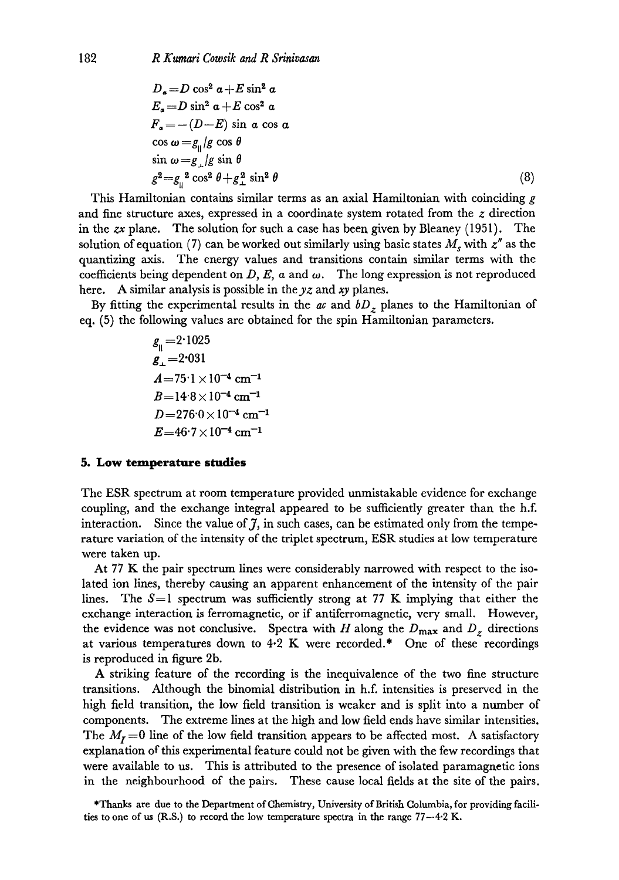$$
D_{a} = D \cos^{2} a + E \sin^{2} a
$$
  
\n
$$
E_{a} = D \sin^{2} a + E \cos^{2} a
$$
  
\n
$$
F_{a} = -(D - E) \sin a \cos a
$$
  
\n
$$
\cos \omega = g_{\parallel}/g \cos \theta
$$
  
\n
$$
\sin \omega = g_{\perp}/g \sin \theta
$$
  
\n
$$
g^{2} = g_{\parallel}^{2} \cos^{2} \theta + g_{\perp}^{2} \sin^{2} \theta
$$
\n(8)

This Hamiltonian contains similar terms as an axial Hamiltonian with coinciding  $g$ and fine structure axes, expressed in a coordinate system rotated from the  $z$  direction in the *zx* plane. The solution for such a case has been given by Bleaney (1951). The solution of equation (7) can be worked out similarly using basic states  $M$ , with  $z''$  as the quantizing axis. The energy values and transitions contain similar terms with the coefficients being dependent on D, E,  $\alpha$  and  $\omega$ . The long expression is not reproduced here. A similar analysis is possible in the yz and xy planes.

By fitting the experimental results in the *ac* and *bD<sub>z</sub>* planes to the Hamiltonian of eq. (5) the following values are obtained for the spin Hamiltonian parameters.

> $g_{\shortparallel} = 2.1025$  $g_{0} = 2.031$  $A=75.1\times10^{-4}$  cm<sup>-1</sup>  $B=14.8\times10^{-4}$  cm<sup>-1</sup>  $D=276.0\times10^{-4}$  cm<sup>-1</sup>  $E=46.7\times10^{-4}$  cm<sup>-1</sup>

#### **5. Low temperature studies**

The ESR spectrum at room temperature provided unmistakable evidence for exchange coupling, and the exchange integral appeared to be sufficiently greater than the h.f. interaction. Since the value of  $\tilde{\jmath}$ , in such cases, can be estimated only from the temperature variation of the intensity of the triplet spectrum, ESR studies at low temperature were taken up.

At 77 K the pair spectrum lines were considerably narrowed with respect to the isolated ion lines, thereby causing an apparent enhancement of the intensity of the pair lines. The  $S=1$  spectrum was sufficiently strong at 77 K implying that either the exchange interaction is ferromagnetic, or if antiferromagnetic, very small. However, the evidence was not conclusive. Spectra with H along the  $D_{\text{max}}$  and  $D_z$  directions at various temperatures down to  $4.2 \text{ K}$  were recorded.\* One of these recordings is reproduced in figure 2b.

A striking feature of the recording is the inequivalence of the two fine structure transitions. Although the binomial distribution in h.f. intensities is preserved in the high field transition, the low field transition is weaker and is split into a number of components. The extreme lines at the high and low field ends have similar intensities. The  $M_I = 0$  line of the low field transition appears to be affected most. A satisfactory explanation of this experimental feature could not be given with the few recordings that were available to us. This is attributed to the presence of isolated paramagnetic ions in the neighbourhood of the pairs. These cause local fields at the site of the pairs.

\*Thanks are due to the Department of Chemistry, University of British Columbia, for providing facilities to one of us  $(R.S.)$  to record the low temperature spectra in the range  $77-4.2$  K.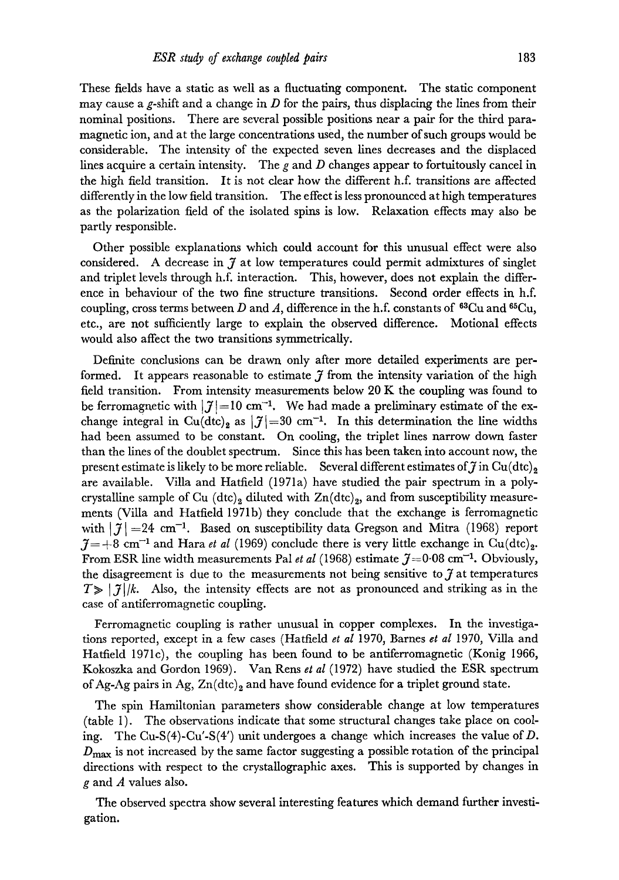These fields have a static as well as a fluctuating component. The static component may cause a g-shift and a change in  $D$  for the pairs, thus displacing the lines from their nominal positions. There are several possible positions near a pair for the third paramagnetic ion, and at the large concentrations used, the number of such groups would be considerable. The intensity of the expected seven lines decreases and the displaced lines acquire a certain intensity. The g and D changes appear to fortuitously cancel in the high field transition. It is not clear how the different h.f. transitions are affected differently in the low field transition. The effect is less pronounced at high temperatures as the polarization field of the isolated spins is low. Relaxation effects may also be partly responsible.

Other possible explanations which could account for this unusual effect were also considered. A decrease in  $\tilde{\jmath}$  at low temperatures could permit admixtures of singlet and triplet levels through h.f. interaction. This, however, does not explain the difference in behaviour of the two fine structure transitions. Second order effects in h.f. coupling, cross terms between D and A, difference in the h.f. constants of  $^{63}Cu$  and  $^{65}Cu$ , etc., are not sufficiently large to explain the observed difference. Motional effects would also affect the two transitions symmetrically.

Definite conclusions can be drawn only after more detailed experiments are performed. It appears reasonable to estimate  $\tilde{\jmath}$  from the intensity variation of the high field transition. From intensity measurements below 20 K the coupling was found to be ferromagnetic with  $|\mathcal{J}|=10$  cm<sup>-1</sup>. We had made a preliminary estimate of the exchange integral in Cu(dtc)<sub>2</sub> as  $|\mathcal{J}|=30$  cm<sup>-1</sup>. In this determination the line widths had been assumed to be constant. On cooling, the triplet lines narrow down faster than the lines of the doublet spectrum. Since this has been taken into account now, the present estimate is likely to be more reliable. Several different estimates of  $\tilde{\jmath}$  in Cu(dtc)<sub>2</sub> are available. Villa and Hatfield (1971a) have studied the pair spectrum in a polycrystalline sample of Cu  $(dtc)_2$  diluted with  $Zn(dtc)_2$ , and from susceptibility measurements (Villa and Hatfield 1971b) they conclude that the exchange is ferromagnetic with  $\left| \mathcal{J} \right| = 24$  cm<sup>-1</sup>. Based on susceptibility data Gregson and Mitra (1968) report  $0.7 = +8$  cm<sup>-1</sup> and Hara *et al* (1969) conclude there is very little exchange in Cu(dtc)<sub>2</sub>. From ESR line width measurements Pal *et al* (1968) estimate  $\tilde{\jmath} = 0.08$  cm<sup>-1</sup>. Obviously, the disagreement is due to the measurements not being sensitive to  $\tilde{\jmath}$  at temperatures  $T\gg |\mathcal{J}|/k$ . Also, the intensity effects are not as pronounced and striking as in the case of antiferromagnetic coupling.

Ferromagnetic coupling is rather unusual in copper complexes. In the investigations reported, except in a few cases (Hatfield *et al* 1970, Barnes *et al* 1970, ViUa and Hatfield 1971c), the coupling has been found to be antiferromagnetic (Konig 1966, Kokoszka and Gordon 1969). Van Rens *et al* (1972) have studied the ESR spectrum of Ag-Ag pairs in Ag,  $Zn(\text{dtc})_2$  and have found evidence for a triplet ground state.

The spin Hamiltonian parameters show considerable change at low temperatures (table 1). The observations indicate that some structural changes take place on cooling. The Cu-S(4)-Cu'-S(4') unit undergoes a change which increases the value of D.  $D_{\text{max}}$  is not increased by the same factor suggesting a possible rotation of the principal directions with respect to the crystallographic axes. This is supported by changes in g and A values also.

The observed spectra show several interesting features which demand further investigation.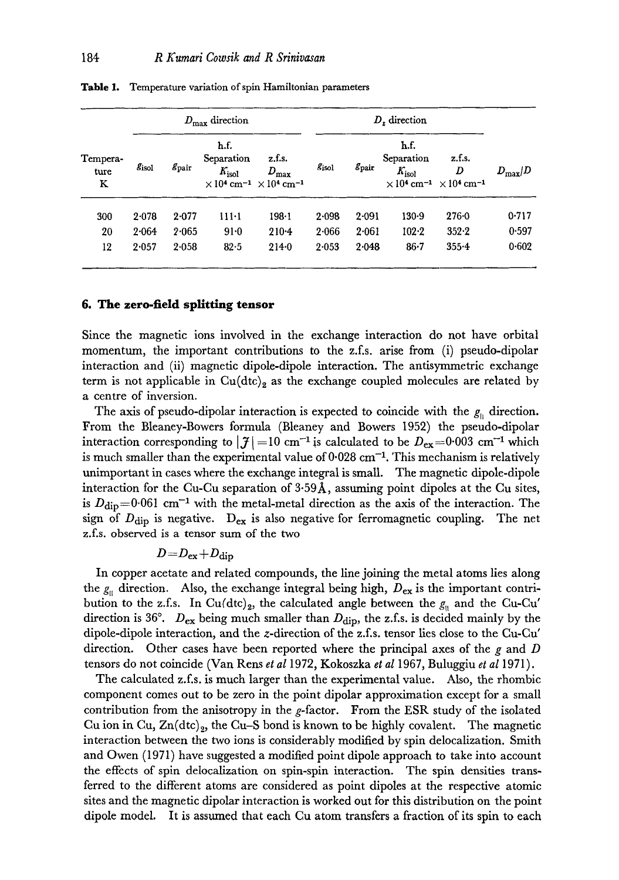| Tempera-<br>ture<br>K | $D_{\max}$ direction |                |                                      |                                                                                                             | $Dr$ direction |                |                                      |                                                                                                    |                    |
|-----------------------|----------------------|----------------|--------------------------------------|-------------------------------------------------------------------------------------------------------------|----------------|----------------|--------------------------------------|----------------------------------------------------------------------------------------------------|--------------------|
|                       | $g_{\rm isol}$       | $g_{\rm pair}$ | h.f.<br>Separation<br>$K_{\rm isol}$ | z.f.s.<br>$D_{\max}$<br>$\times$ 10 <sup>4</sup> cm <sup>-1</sup> $\times$ 10 <sup>4</sup> cm <sup>-1</sup> | Sisol          | $g_{\rm pair}$ | h.f.<br>Separation<br>$K_{\rm isol}$ | z.f.s.<br>D<br>$\times$ 10 <sup>4</sup> cm <sup>-1</sup> $\times$ 10 <sup>4</sup> cm <sup>-1</sup> | $D_{\text{max}}/D$ |
| 300                   | 2.078                | 2.077          | $111-1$                              | 198.1                                                                                                       | 2.098          | $2 - 091$      | 130.9                                | $276 - 0$                                                                                          | 0.717              |
| 20                    | 2.064                | 2.065          | $91-0$                               | $210 - 4$                                                                                                   | 2.066          | 2.061          | $102 - 2$                            | $352 - 2$                                                                                          | 0.597              |
| 12                    | 2.057                | 2.058          | 82.5                                 | $214 - 0$                                                                                                   | 2.053          | 2.048          | $86 - 7$                             | $355 - 4$                                                                                          | 0.602              |

Table 1. Temperature variation of spin Hamiltonian parameters

#### **6. The zero-field splitting tensor**

Since the magnetic ions involved in the exchange interaction do not have orbital momentum, the important contributions to the z.f.s, arise from (i) pseudo-dipolar interaction and (ii) magnetic dipole-dipole interaction. The antisymmetric exchange term is not applicable in  $Cu(dtc)_2$  as the exchange coupled molecules are related by a centre of inversion.

The axis of pseudo-dipolar interaction is expected to coincide with the  $g_{\parallel}$  direction. From the Bleaney-Bowers formula (Bleaney and Bowers 1952) the pseudo-dipolar interaction corresponding to  $|\mathcal{J}|=10$  cm<sup>-1</sup> is calculated to be  $D_{ex}=0.003$  cm<sup>-1</sup> which is much smaller than the experimental value of  $0.028 \text{ cm}^{-1}$ . This mechanism is relatively unimportant in cases where the exchange integral is small. The magnetic dipole-dipole interaction for the Cu-Cu separation of  $3.59\text{\AA}$ , assuming point dipoles at the Cu sites, is  $D_{\text{dip}}=0.061 \text{ cm}^{-1}$  with the metal-metal direction as the axis of the interaction. The sign of  $D_{\text{dip}}$  is negative.  $D_{\text{ex}}$  is also negative for ferromagnetic coupling. The net z.f.s, observed is a tensor sum of the two

$$
D\!=\!D_{\rm ex}\!+\!D_{\rm dip}
$$

In copper acetate and related compounds, the line joining the metal atoms lies along the  $g_{\parallel}$  direction. Also, the exchange integral being high,  $D_{\text{ex}}$  is the important contribution to the z.f.s. In Cu(dtc)<sub>2</sub>, the calculated angle between the  $g_{\parallel}$  and the Cu-Cu' direction is 36°.  $D_{ex}$  being much smaller than  $D_{dip}$ , the z.f.s. is decided mainly by the dipole-dipole interaction, and the z-direction of the z.f.s, tensor lies close to the Cu-Cu' direction. Other cases have been reported where the principal axes of the g and  $D$ tensors do not coincide (Van Rens *et al* 1972, Kokoszka *et al* 1967, Buluggiu *et al* 1971).

The calculated z.f.s, is much larger than the experimental value. Also, the rhombic component comes out to be zero in the point dipolar approximation except for a small contribution from the anisotropy in the  $g$ -factor. From the ESR study of the isolated Cu ion in Cu,  $\text{Zn}(\text{d}t)_{2}$ , the Cu–S bond is known to be highly covalent. The magnetic interaction between the two ions is considerably modified by spin delocalization. Smith and Owen (1971) have suggested a modified point dipole approach to take into account the effects of spin delocalization on spin-spin interaction. The spin densities transferred to the different atoms are considered as point dipoles at the respective atomic sites and the magnetic dipolar interaction is worked out for this distribution on the point dipole model. It is assumed that each Cu atom transfers a fraction of its spin to each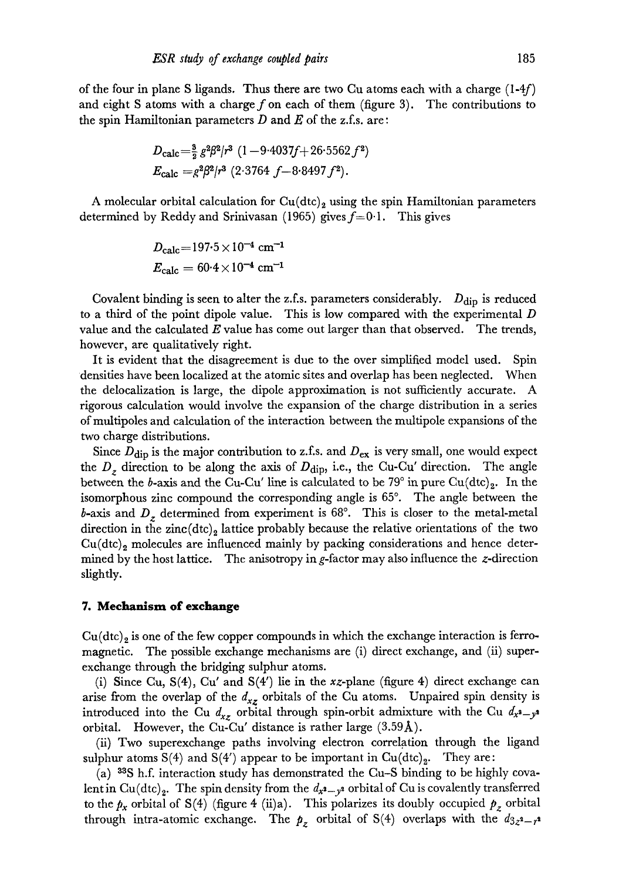of the four in plane S ligands. Thus there are two Cu atoms each with a charge  $(1-4f)$ and eight S atoms with a charge  $f$  on each of them (figure 3). The contributions to the spin Hamiltonian parameters D **and** E of the z.f.s, are:

$$
D_{\text{calc}} = \frac{3}{2} g^2 \beta^2 / r^3 \ (1 - 9 \cdot 4037f + 26 \cdot 5562 f^2)
$$
  
\n
$$
E_{\text{calc}} = g^2 \beta^2 / r^3 \ (2 \cdot 3764 f - 8 \cdot 8497 f^2).
$$

A molecular orbital calculation for  $Cu(dtc)_2$  using the spin Hamiltonian parameters determined by Reddy and Srinivasan (1965) gives  $f=0.1$ . This gives

$$
D_{\rm calc} = 197.5 \times 10^{-4} \text{ cm}^{-1}
$$
  

$$
E_{\rm calc} = 60.4 \times 10^{-4} \text{ cm}^{-1}
$$

Covalent binding is seen to alter the z.f.s. parameters considerably.  $D_{\text{dip}}$  is reduced to a third of the point dipole value. This is low compared with the experimental D value and the calculated  $E$  value has come out larger than that observed. The trends, however, are qualitatively right.

It is evident that the disagreement is due to the over simplified model used. Spin densities have been localized at the atomic sites and overlap has been neglected. When the delocalization is large, the dipole approximation is not sufficiently accurate. A rigorous calculation would involve the expansion of the charge distribution in a series of mulfipoles and calculation of the interaction between the multipole expansions of the two charge distributions.

Since  $D_{\text{dip}}$  is the major contribution to z.f.s. and  $D_{\text{ex}}$  is very small, one would expect the  $D_z$  direction to be along the axis of  $D_{\text{dip}}$ , i.e., the Cu-Cu' direction. The angle between the b-axis and the Cu-Cu' line is calculated to be  $79^{\circ}$  in pure Cu(dtc)<sub>2</sub>. In the isomorphous zinc compound the corresponding angle is 65°. The angle between the b-axis and  $D_z$  determined from experiment is  $68^\circ$ . This is closer to the metal-metal direction in the zinc $(dtc)_2$  lattice probably because the relative orientations of the two  $Cu(dtc)<sub>2</sub>$  molecules are influenced mainly by packing considerations and hence determined by the host lattice. The anisotropy in g-factor may also influence the z-direction slightly.

#### **7. Mechanism of exchange**

 $Cu(dtc)_2$  is one of the few copper compounds in which the exchange interaction is ferromagnetic. The possible exchange mechanisms are (i) direct exchange, and (ii) superexchange through the bridging sulphur atoms.

(i) Since Cu,  $S(4)$ , Cu' and  $S(4')$  lie in the xz-plane (figure 4) direct exchange can arise from the overlap of the  $d_{xz}$  orbitals of the Cu atoms. Unpaired spin density is introduced into the Cu  $d_{xz}$  orbital through spin-orbit admixture with the Cu  $d_{x^2-y^2}$ orbital. However, the Cu-Cu' distance is rather large (3.59A).

(ii) Two superexchange paths involving electron correlation through the ligand sulphur atoms S(4) and S(4') appear to be important in  $Cu(dtc)_2$ . They are:

(a) 33S h.f. interaction study has demonstrated the Cu-S binding to be highly covalent in Cu(dtc)<sub>2</sub>. The spin density from the  $d_{x^2-y^2}$  orbital of Cu is covalently transferred to the  $p_x$  orbital of S(4) (figure 4 (ii)a). This polarizes its doubly occupied  $p_z$  orbital through intra-atomic exchange. The  $p<sub>z</sub>$  orbital of S(4) overlaps with the  $d_{3z^2-z^2}$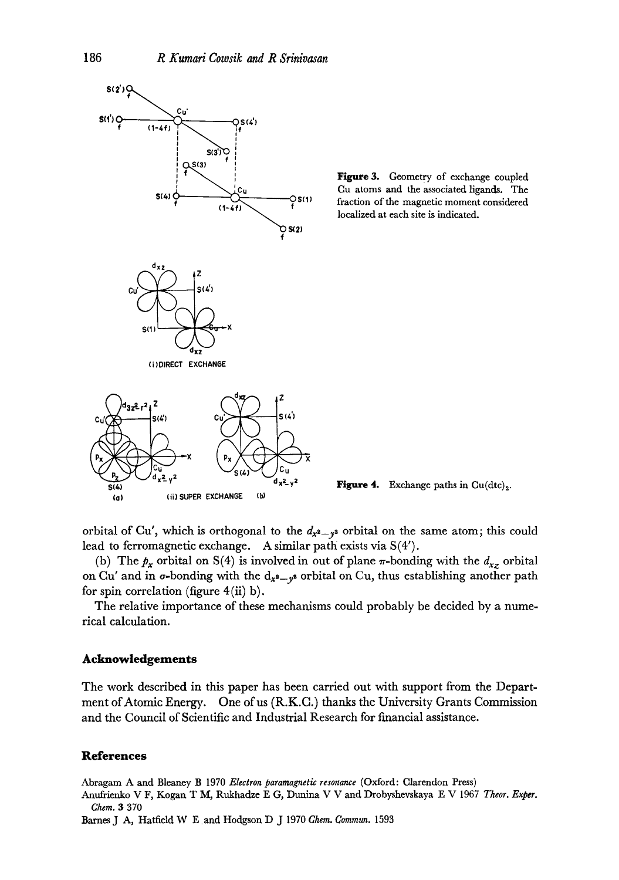

Figure 3. Geometry of exchange coupled Cu atoms and the associated ligands. The fraction of the magnetic moment considered localized at each site is indicated.

**Figure 4.** Exchange paths in  $Cu(dtc)<sub>2</sub>$ .

orbital of Cu', which is orthogonal to the  $d_{x^2-y^2}$  orbital on the same atom; this could lead to ferromagnetic exchange. A similar path exists via S(4').

(b) The  $p_x$  orbital on S(4) is involved in out of plane  $\pi$ -bonding with the  $d_{xz}$  orbital on Cu' and in  $\sigma$ -bonding with the  $d_{x^2-y^2}$  orbital on Cu, thus establishing another path for spin correlation (figure  $4(ii)$  b).

The relative importance of these mechanisms could probably be decided by a numerical calculation.

## **Acknowledgements**

The work described in this paper has been carried out with support from the Department of Atomic Energy. One of us (R.K.C.) thanks the University Grants Commission and the Council of Scientific and Industrial Research for financial assistance.

# **References**

Abragam A and Bleaney B 1970 *Electron paramagnetic resonance* (Oxford: Clarendon Press)

Anufrienko V F, Kogan T M, Rukhadze E G, Dunina V V and Drobyshevskaya E V 1967 Theor. Exper. *Chem. 3* 370

Barnes J A, Hatfield W E and Hodgson D J 1970 *Chem. Gommun.* 1593